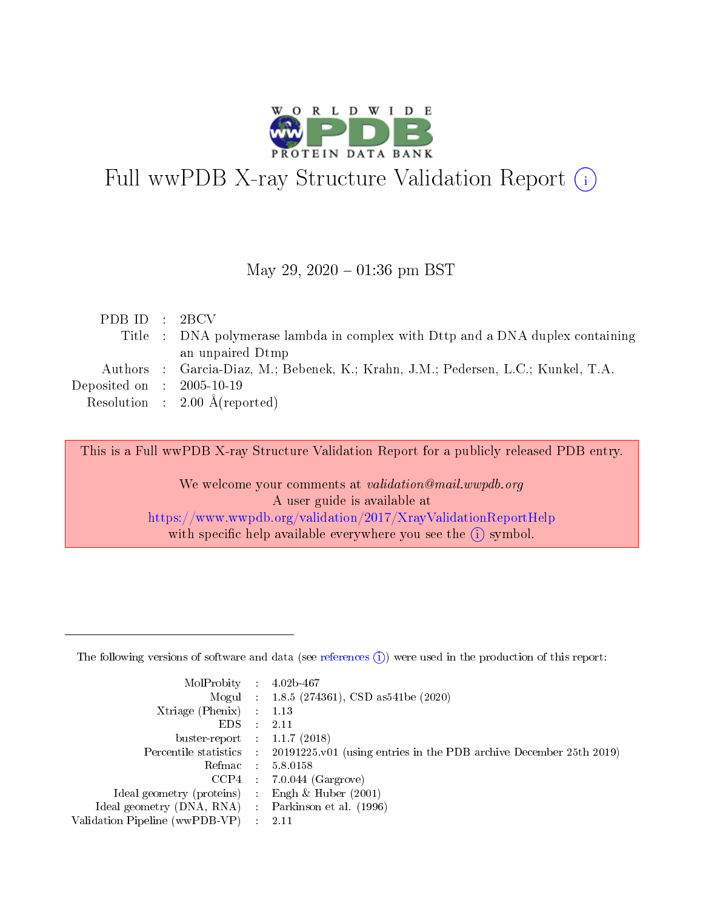

# Full wwPDB X-ray Structure Validation Report (i)

#### May 29,  $2020 - 01:36$  pm BST

|  | PDBID : 2BCV                                                                      |
|--|-----------------------------------------------------------------------------------|
|  | Title : DNA polymerase lambda in complex with Dttp and a DNA duplex containing    |
|  | an unpaired Dtmp                                                                  |
|  | Authors : Garcia-Diaz, M.; Bebenek, K.; Krahn, J.M.; Pedersen, L.C.; Kunkel, T.A. |
|  | Deposited on : $2005-10-19$                                                       |
|  | Resolution : $2.00 \text{ Å}$ (reported)                                          |

This is a Full wwPDB X-ray Structure Validation Report for a publicly released PDB entry.

We welcome your comments at validation@mail.wwpdb.org A user guide is available at <https://www.wwpdb.org/validation/2017/XrayValidationReportHelp> with specific help available everywhere you see the  $(i)$  symbol.

The following versions of software and data (see [references](https://www.wwpdb.org/validation/2017/XrayValidationReportHelp#references)  $(1)$ ) were used in the production of this report:

| MolProbity :                   |               | $4.02b - 467$                                                               |
|--------------------------------|---------------|-----------------------------------------------------------------------------|
|                                |               | Mogul : $1.8.5$ (274361), CSD as 541be (2020)                               |
| Xtriage (Phenix)               | $\mathcal{L}$ | 1.13                                                                        |
| EDS.                           |               | 2.11                                                                        |
| buster-report : $1.1.7$ (2018) |               |                                                                             |
| Percentile statistics :        |               | $20191225 \text{v}01$ (using entries in the PDB archive December 25th 2019) |
| Refmac :                       |               | 5.8.0158                                                                    |
| CCP4                           |               | $7.0.044$ (Gargrove)                                                        |
| Ideal geometry (proteins) :    |               | Engh $\&$ Huber (2001)                                                      |
| Ideal geometry (DNA, RNA) :    |               | Parkinson et al. (1996)                                                     |
| Validation Pipeline (wwPDB-VP) | $\mathcal{L}$ | 2.11                                                                        |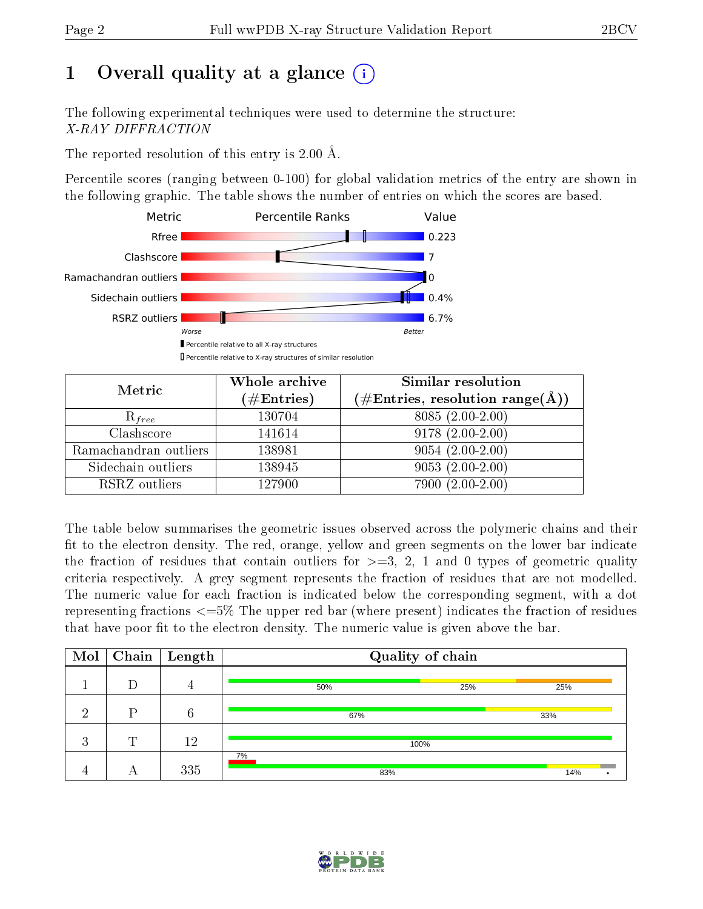## 1 [O](https://www.wwpdb.org/validation/2017/XrayValidationReportHelp#overall_quality)verall quality at a glance  $(i)$

The following experimental techniques were used to determine the structure: X-RAY DIFFRACTION

The reported resolution of this entry is  $2.00 \text{ Å}.$ 

Percentile scores (ranging between 0-100) for global validation metrics of the entry are shown in the following graphic. The table shows the number of entries on which the scores are based.



| Metric                | Whole archive<br>$(\#\text{Entries})$ | Similar resolution<br>$(\#\text{Entries}, \text{resolution range}(\text{\AA}))$ |
|-----------------------|---------------------------------------|---------------------------------------------------------------------------------|
| $R_{free}$            | 130704                                | $8085(2.00-2.00)$                                                               |
| Clashscore            | 141614                                | $9178(2.00-2.00)$                                                               |
| Ramachandran outliers | 138981                                | $9054(2.00-2.00)$                                                               |
| Sidechain outliers    | 138945                                | $9053(2.00-2.00)$                                                               |
| RSRZ outliers         | 127900                                | 7900 (2.00-2.00)                                                                |

The table below summarises the geometric issues observed across the polymeric chains and their fit to the electron density. The red, orange, yellow and green segments on the lower bar indicate the fraction of residues that contain outliers for  $>=3, 2, 1$  and 0 types of geometric quality criteria respectively. A grey segment represents the fraction of residues that are not modelled. The numeric value for each fraction is indicated below the corresponding segment, with a dot representing fractions <=5% The upper red bar (where present) indicates the fraction of residues that have poor fit to the electron density. The numeric value is given above the bar.

| Mol            |   | $\sqrt{\text{Chain}}$ Length | Quality of chain |     |  |  |  |  |  |
|----------------|---|------------------------------|------------------|-----|--|--|--|--|--|
|                |   | 4                            | 50%<br>25%       | 25% |  |  |  |  |  |
| ച              |   | 6                            | 67%              | 33% |  |  |  |  |  |
| റ<br>$\cdot$ 1 | m | 12                           | 100%             |     |  |  |  |  |  |
|                |   | 335                          | 7%<br>83%        | 14% |  |  |  |  |  |

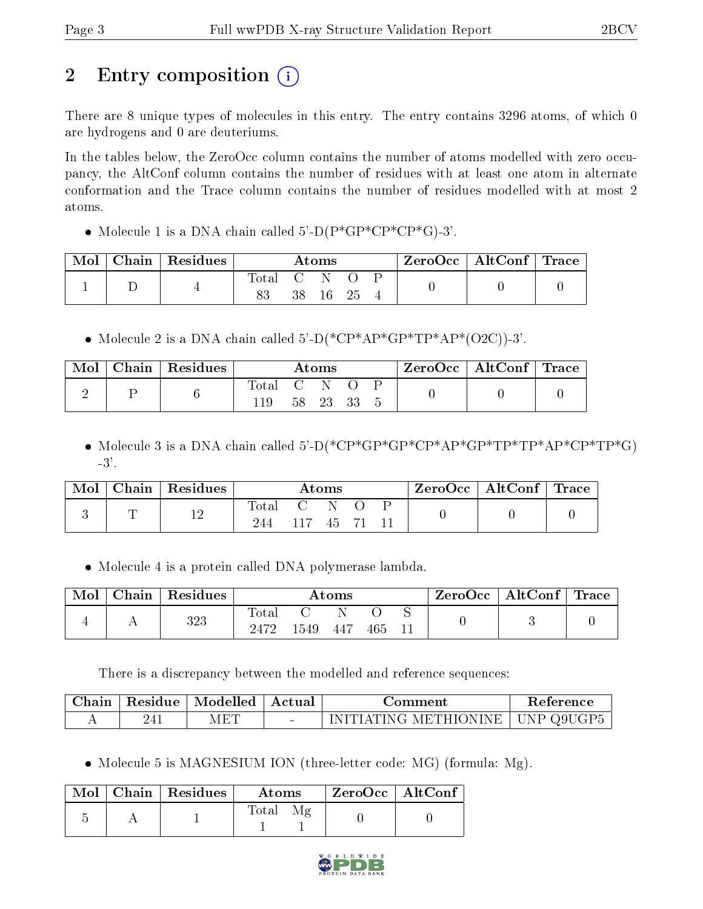## 2 Entry composition  $\left( \cdot \right)$

There are 8 unique types of molecules in this entry. The entry contains 3296 atoms, of which 0 are hydrogens and 0 are deuteriums.

In the tables below, the ZeroOcc column contains the number of atoms modelled with zero occupancy, the AltConf column contains the number of residues with at least one atom in alternate conformation and the Trace column contains the number of residues modelled with at most 2 atoms.

• Molecule 1 is a DNA chain called  $5-\text{D}(P^*GP^*CP^*CP^*G)$ -3'.

| Mol | $^{\shortmid}$ Chain   Residues | $\rm{Atoms}$ |    |    | ZeroOcc   AltConf   Trace |  |  |  |
|-----|---------------------------------|--------------|----|----|---------------------------|--|--|--|
|     |                                 | Total<br>83  | 38 | 16 | 25                        |  |  |  |

• Molecule 2 is a DNA chain called  $5-D(*\mathbb{CP}^*\mathbb{AP}^*\mathbb{GP}^*\mathbb{TP}^*\mathbb{AP}^*(O2C))-3'.$ 

| Mol | $\,$ Chain $\,$ Residues $^{\,\prime}$ | Atoms |  |          |  |  | $\rm ZeroOcc \mid AltConf \mid Trace$ |  |
|-----|----------------------------------------|-------|--|----------|--|--|---------------------------------------|--|
| ↵   |                                        | Total |  | 58 23 33 |  |  |                                       |  |
|     |                                        |       |  |          |  |  |                                       |  |

• Molecule 3 is a DNA chain called 5'-D(\*CP\*GP\*GP\*CP\*AP\*GP\*TP\*AP\*CP\*TP\*G) -3'.

| Mol | Chain   Residues | $\rm{Atoms}$ |  |       |  | $\text{ZeroOcc} \mid \text{AltConf} \mid \text{Trace}$ |  |
|-----|------------------|--------------|--|-------|--|--------------------------------------------------------|--|
|     | 12               | Total<br>244 |  | $-45$ |  |                                                        |  |

Molecule 4 is a protein called DNA polymerase lambda.

| Mol | Chain | $\vert$ Residues | $\rm{Atoms}$        |      |      |     |  | ZeroOcc | $\mid$ AltConf $\mid$ Trace |  |
|-----|-------|------------------|---------------------|------|------|-----|--|---------|-----------------------------|--|
|     |       | 323              | $\rm Total$<br>2472 | 1549 | -447 | 465 |  |         |                             |  |

There is a discrepancy between the modelled and reference sequences:

| Chain | $\mid$ Residue $\mid$ Modelled $\mid$ Actual | Comment                                        | Reference |
|-------|----------------------------------------------|------------------------------------------------|-----------|
|       | MET                                          | $\mid$ INITIATING METHIONINE $\mid$ UNP Q9UGP5 |           |

• Molecule 5 is MAGNESIUM ION (three-letter code: MG) (formula: Mg).

|  | $\text{Mol}$   Chain   Residues | Atoms | $\mid$ ZeroOcc $\mid$ AltConf $\mid$ |  |
|--|---------------------------------|-------|--------------------------------------|--|
|  |                                 | Total |                                      |  |

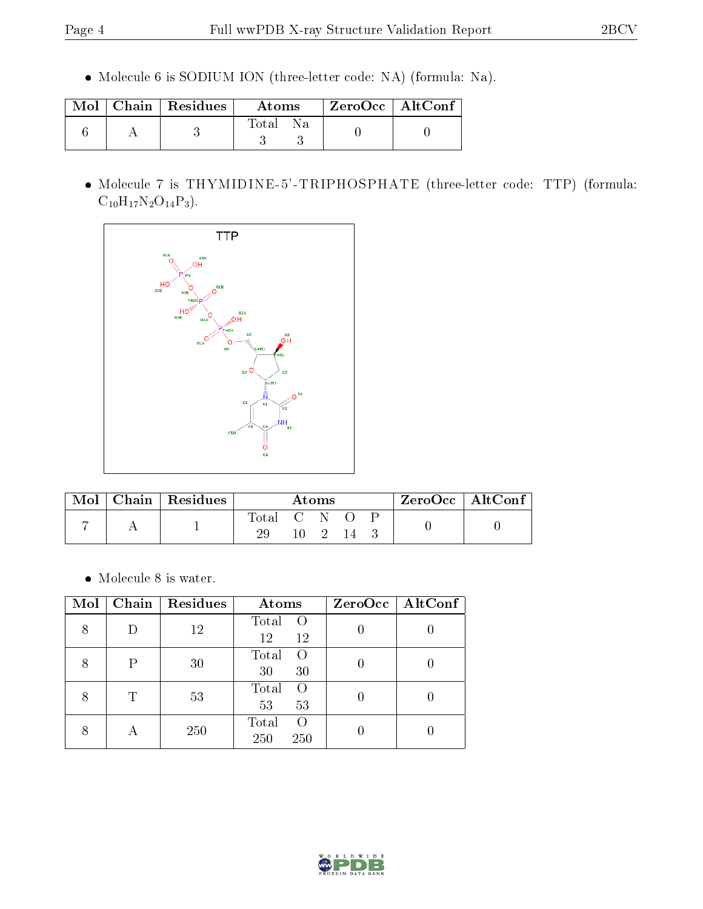Molecule 6 is SODIUM ION (three-letter code: NA) (formula: Na).

|  | $\text{Mol}$   Chain   Residues | Atoms    | ZeroOcc   AltConf |  |
|--|---------------------------------|----------|-------------------|--|
|  |                                 | Total Na |                   |  |

 Molecule 7 is THYMIDINE-5'-TRIPHOSPHATE (three-letter code: TTP) (formula:  $C_{10}H_{17}N_2O_{14}P_3$ .



|  | Chain   $Residues$ | Atoms       |  |              |      | ZeroOcc   AltConf |  |
|--|--------------------|-------------|--|--------------|------|-------------------|--|
|  |                    | Total C N O |  | $10 \quad 2$ | - 14 |                   |  |

 $\bullet\,$  Molecule 8 is water.

| Mol |           | Chain   Residues | Atoms                           | ZeroOcc   AltConf |
|-----|-----------|------------------|---------------------------------|-------------------|
| 8   | D         | 12               | Total<br>$\circ$<br>12<br>12    |                   |
| 8   | P         | 30               | Total<br>$\Omega$<br>30<br>30   |                   |
| 8   | Τ         | 53               | Total<br>$\Omega$<br>53<br>53   |                   |
| 8   | $\forall$ | 250              | Total<br>$\Omega$<br>250<br>250 |                   |

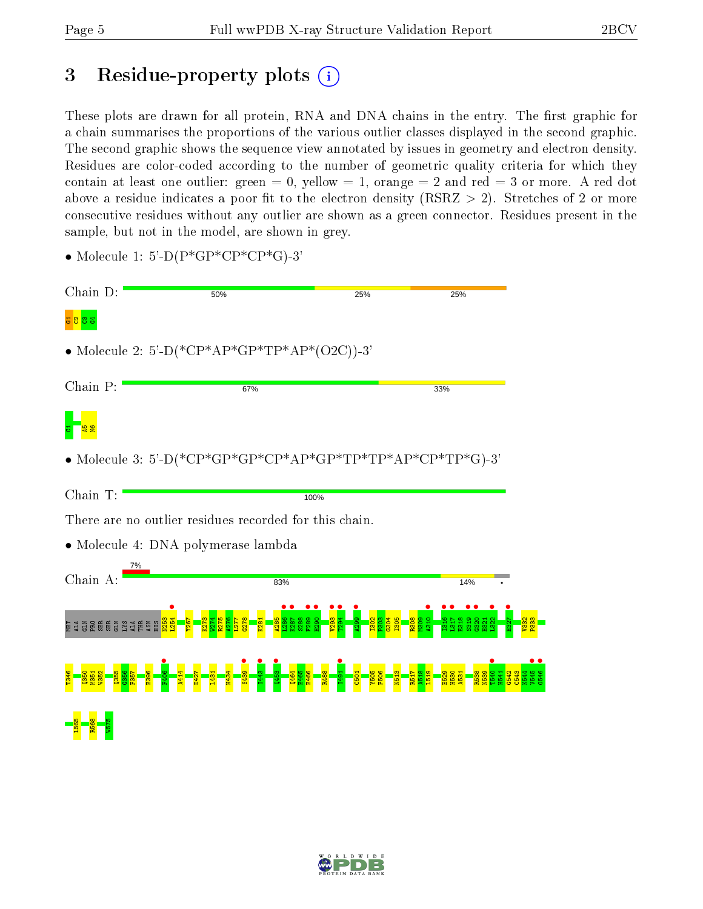## 3 Residue-property plots (i)

These plots are drawn for all protein, RNA and DNA chains in the entry. The first graphic for a chain summarises the proportions of the various outlier classes displayed in the second graphic. The second graphic shows the sequence view annotated by issues in geometry and electron density. Residues are color-coded according to the number of geometric quality criteria for which they contain at least one outlier: green  $= 0$ , yellow  $= 1$ , orange  $= 2$  and red  $= 3$  or more. A red dot above a residue indicates a poor fit to the electron density (RSRZ  $> 2$ ). Stretches of 2 or more consecutive residues without any outlier are shown as a green connector. Residues present in the sample, but not in the model, are shown in grey.

| Chain D:                                                                                                                                                                                                                                                                                                                                                                                                                                                    | 50% | 25%  |     | 25% |
|-------------------------------------------------------------------------------------------------------------------------------------------------------------------------------------------------------------------------------------------------------------------------------------------------------------------------------------------------------------------------------------------------------------------------------------------------------------|-----|------|-----|-----|
| లి జి                                                                                                                                                                                                                                                                                                                                                                                                                                                       |     |      |     |     |
| • Molecule 2: 5'-D(*CP*AP*GP*TP*AP*(O2C))-3'                                                                                                                                                                                                                                                                                                                                                                                                                |     |      |     |     |
| Chain P:                                                                                                                                                                                                                                                                                                                                                                                                                                                    | 67% |      | 33% |     |
|                                                                                                                                                                                                                                                                                                                                                                                                                                                             |     |      |     |     |
| $\bullet \text{ Molecule 3: } 5\text{'-}D(*\text{CP*}\text{GP*}\text{GP*}\text{CP*}\text{AP*}\text{GP*}\text{TP*}\text{TP*}\text{TP*}\text{AP*}\text{CP*}\text{TP*}\text{GP*}\text{TP*}\text{GP*}\text{CP*}\text{TP*}\text{GP*}\text{GP*}\text{TP*}\text{GP*}\text{TP*}\text{GP*}\text{TP*}\text{GP*}\text{TP*}\text{GP*}\text{TP*}\text{GP*}\text{TP*}\text{GP*}\text{TP*}\text{GP*}\text{TP*}\text{GP*}\text{TP*}\text{GP*}\text{TP*}\text{GP*}\text{TP*$ |     |      |     |     |
| Chain T:                                                                                                                                                                                                                                                                                                                                                                                                                                                    |     | 100% |     |     |
| There are no outlier residues recorded for this chain.                                                                                                                                                                                                                                                                                                                                                                                                      |     |      |     |     |
| • Molecule 4: DNA polymerase lambda                                                                                                                                                                                                                                                                                                                                                                                                                         |     |      |     |     |
| 7%<br>Chain A:                                                                                                                                                                                                                                                                                                                                                                                                                                              |     | 83%  |     | 14% |
|                                                                                                                                                                                                                                                                                                                                                                                                                                                             |     |      |     |     |
|                                                                                                                                                                                                                                                                                                                                                                                                                                                             |     |      |     |     |
|                                                                                                                                                                                                                                                                                                                                                                                                                                                             |     |      |     |     |

• Molecule 1: 5'-D( $P*GP*CP*CP*GP*G$ )-3'

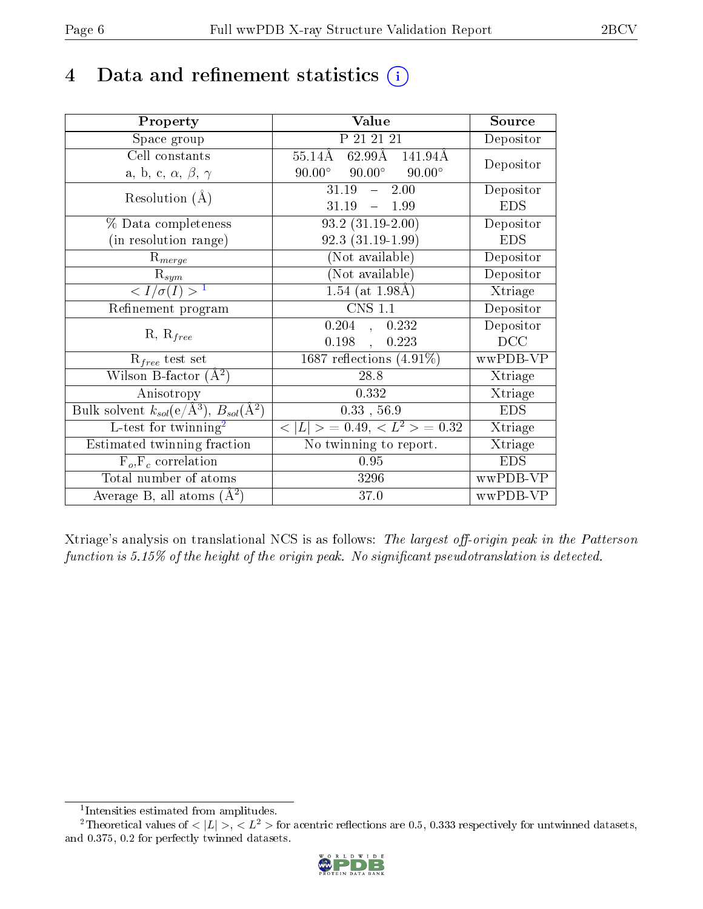## 4 Data and refinement statistics  $(i)$

| Property                                                         | Value                                                    | Source     |
|------------------------------------------------------------------|----------------------------------------------------------|------------|
| Space group                                                      | P 21 21 21                                               | Depositor  |
| Cell constants                                                   | $62.99\text{\AA}$ $141.94\text{\AA}$<br>$55.14{\rm \AA}$ | Depositor  |
| a, b, c, $\alpha$ , $\beta$ , $\gamma$                           | $90.00^{\circ}$ $90.00^{\circ}$<br>$90.00^\circ$         |            |
| Resolution $(A)$                                                 | 31.19<br>$-2.00$                                         | Depositor  |
|                                                                  | 31.19<br>$-1.99$                                         | <b>EDS</b> |
| % Data completeness                                              | $93.2(31.19-2.00)$                                       | Depositor  |
| (in resolution range)                                            | $92.3(31.19-1.99)$                                       | <b>EDS</b> |
| $R_{merge}$                                                      | (Not available)                                          | Depositor  |
| $\mathrm{R}_{sym}$                                               | (Not available)                                          | Depositor  |
| $\langle I/\sigma(I) \rangle^{-1}$                               | $1.54$ (at $1.98$ Å)                                     | Xtriage    |
| Refinement program                                               | $CNS$ 1.1                                                | Depositor  |
| $R, R_{free}$                                                    | $0.204$ , $0.232$                                        | Depositor  |
|                                                                  | 0.198,<br>0.223                                          | DCC        |
| $R_{free}$ test set                                              | $1687$ reflections $(4.91\%)$                            | wwPDB-VP   |
| Wilson B-factor $(A^2)$                                          | 28.8                                                     | Xtriage    |
| Anisotropy                                                       | 0.332                                                    | Xtriage    |
| Bulk solvent $k_{sol}(\text{e}/\text{A}^3), B_{sol}(\text{A}^2)$ | $0.33$ , 56.9                                            | <b>EDS</b> |
| L-test for twinning <sup>2</sup>                                 | $< L >$ = 0.49, $< L2$ > = 0.32                          | Xtriage    |
| Estimated twinning fraction                                      | No twinning to report.                                   | Xtriage    |
| $F_o, F_c$ correlation                                           | 0.95                                                     | <b>EDS</b> |
| Total number of atoms                                            | 3296                                                     | wwPDB-VP   |
| Average B, all atoms $(A^2)$                                     | 37.0                                                     | wwPDB-VP   |

Xtriage's analysis on translational NCS is as follows: The largest off-origin peak in the Patterson function is  $5.15\%$  of the height of the origin peak. No significant pseudotranslation is detected.

<sup>&</sup>lt;sup>2</sup>Theoretical values of  $\langle |L| \rangle$ ,  $\langle L^2 \rangle$  for acentric reflections are 0.5, 0.333 respectively for untwinned datasets, and 0.375, 0.2 for perfectly twinned datasets.



<span id="page-5-1"></span><span id="page-5-0"></span><sup>1</sup> Intensities estimated from amplitudes.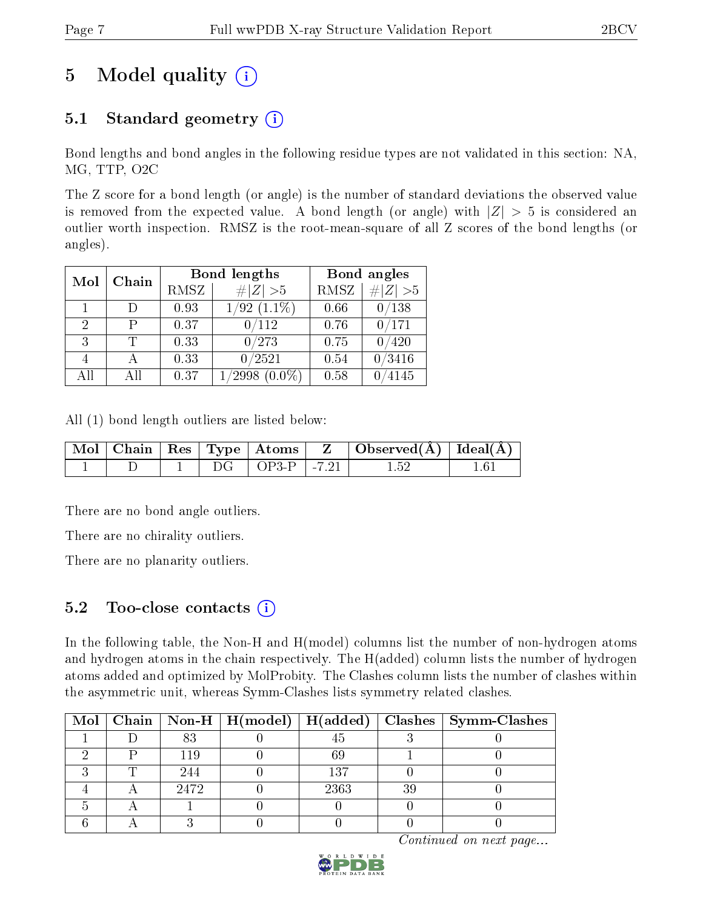## 5 Model quality  $(i)$

## 5.1 Standard geometry  $(i)$

Bond lengths and bond angles in the following residue types are not validated in this section: NA, MG, TTP, O2C

The Z score for a bond length (or angle) is the number of standard deviations the observed value is removed from the expected value. A bond length (or angle) with  $|Z| > 5$  is considered an outlier worth inspection. RMSZ is the root-mean-square of all Z scores of the bond lengths (or angles).

| Mol | Chain           |      | Bond lengths               |             | Bond angles |
|-----|-----------------|------|----------------------------|-------------|-------------|
|     |                 | RMSZ | # $ Z >5$                  | <b>RMSZ</b> | Z  > 5<br># |
|     | Ð               | 0.93 | $(1.1\%)$<br>'92           | 0.66        | /138        |
| 2   | Р               | 0.37 | $^{\prime}112$             | 0.76        | /171        |
| 3   | Ͳ               | 0.33 | 0/273                      | 0.75        | 420         |
|     |                 | 0.33 | 0/2521                     | 0.54        | /3416       |
| All | A <sub>II</sub> | 0.37 | $^\prime2998$<br>$(0.0\%)$ | 0.58        | 4145        |

All (1) bond length outliers are listed below:

|  |  |                          | $\mid$ Mol $\mid$ Chain $\mid$ Res $\mid$ Type $\mid$ Atoms $\mid$ Z $\mid$ Observed(A) $\mid$ Ideal(A) $\mid$ |  |
|--|--|--------------------------|----------------------------------------------------------------------------------------------------------------|--|
|  |  | $DG$   $OP3-P$   $-7.21$ |                                                                                                                |  |

There are no bond angle outliers.

There are no chirality outliers.

There are no planarity outliers.

### 5.2 Too-close contacts  $\overline{a}$

In the following table, the Non-H and H(model) columns list the number of non-hydrogen atoms and hydrogen atoms in the chain respectively. The H(added) column lists the number of hydrogen atoms added and optimized by MolProbity. The Clashes column lists the number of clashes within the asymmetric unit, whereas Symm-Clashes lists symmetry related clashes.

|  |      |      | Mol   Chain   Non-H   H(model)   H(added)   Clashes   Symm-Clashes |
|--|------|------|--------------------------------------------------------------------|
|  | 83   |      |                                                                    |
|  |      |      |                                                                    |
|  | 244  | 137  |                                                                    |
|  | 2472 | 2363 |                                                                    |
|  |      |      |                                                                    |
|  |      |      |                                                                    |

Continued on next page...

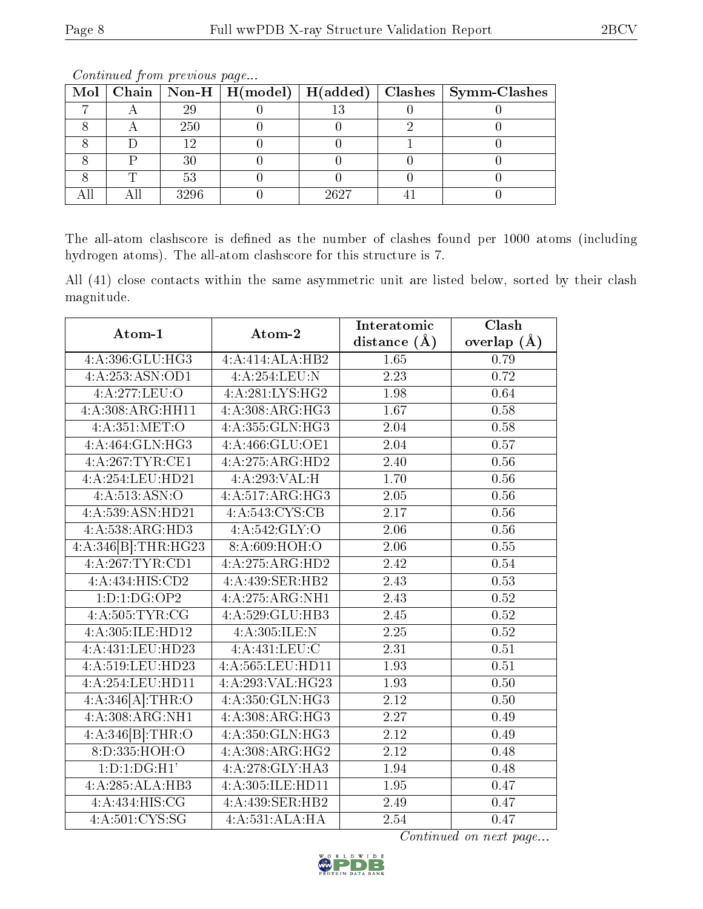|  |      |      | Mol   Chain   Non-H   H(model)   H(added)   Clashes   Symm-Clashes |
|--|------|------|--------------------------------------------------------------------|
|  | 29   |      |                                                                    |
|  | 250  |      |                                                                    |
|  | 1 ເງ |      |                                                                    |
|  | 30   |      |                                                                    |
|  |      |      |                                                                    |
|  | 3296 | 2627 |                                                                    |

Continued from previous page...

The all-atom clashscore is defined as the number of clashes found per 1000 atoms (including hydrogen atoms). The all-atom clashscore for this structure is 7.

All (41) close contacts within the same asymmetric unit are listed below, sorted by their clash magnitude.

| Atom-1                             | Atom-2           | Interatomic       | Clash         |
|------------------------------------|------------------|-------------------|---------------|
|                                    |                  | distance $(\AA)$  | overlap $(A)$ |
| 4:A:396:GLU:HG3                    | 4:A:414:ALA:HB2  | 1.65              | 0.79          |
| 4:A:253:ASN:OD1                    | 4:A:254:LEU:N    | 2.23              | 0.72          |
| 4:A:277:LEU:O                      | 4:A:281:LYS:HG2  | 1.98              | 0.64          |
| 4:A:308:ARG:HH11                   | 4:A:308:ARG:HG3  | 1.67              | 0.58          |
| 4:A:351:MET:O                      | 4:A:355:GLN:HG3  | 2.04              | 0.58          |
| 4:A:464:GLN:HG3                    | 4:A:466:GLU:OE1  | $\overline{2.04}$ | 0.57          |
| 4:A:267:TYR:CE1                    | 4:A:275:ARG:HD2  | 2.40              | 0.56          |
| 4:A:254:LEU:HD21                   | 4:A:293:VAL:H    | 1.70              | 0.56          |
| 4: A:513: ASN:O                    | 4:A:517:ARG:HG3  | 2.05              | 0.56          |
| 4:A:539:ASN:HD21                   | 4:A:543:CYS:CB   | 2.17              | 0.56          |
| 4:A:538:ARG:HD3                    | 4: A:542: GLY:O  | 2.06              | 0.56          |
| 4:A:346[B]:THR:HG23                | 8:A:609:HOH:O    | 2.06              | 0.55          |
| 4:A:267:TYR:CD1                    | 4:A:275:ARG:HD2  | 2.42              | 0.54          |
| 4:A:434:HIS:CD2                    | 4:A:439:SER:HB2  | 2.43              | 0.53          |
| 1: D: 1: DG: OP2                   | 4:A:275:ARG:NH1  | 2.43              | 0.52          |
| $4:A:505:\overline{\text{TYR:CG}}$ | 4:A:529:GLU:HB3  | 2.45              | 0.52          |
| 4:A:305:ILE:HD12                   | 4: A:305: ILE:N  | 2.25              | 0.52          |
| 4:A:431:LEU:HD23                   | 4:A:431:LEU:C    | 2.31              | 0.51          |
| 4:A:519:LEU:HD23                   | 4:A:565:LEU:HD11 | 1.93              | 0.51          |
| 4:A:254:LEU:HD11                   | 4:A:293:VAL:HG23 | 1.93              | 0.50          |
| 4:A:346[A]:THR:O                   | 4:A:350:GLN:HG3  | 2.12              | 0.50          |
| 4:A:308:ARG:NH1                    | 4: A:308:ARG:HG3 | 2.27              | 0.49          |
| 4:A:346[B]:THR:O                   | 4:A:350:GLN:HG3  | $\overline{2.12}$ | 0.49          |
| 8:D:335:HOH:O                      | 4:A:308:ARG:HG2  | 2.12              | 0.48          |
| $1: D: 1: \overline{DG:H1'}$       | 4:A:278:GLY:HA3  | 1.94              | 0.48          |
| 4:A:285:ALA:HB3                    | 4:A:305:ILE:HD11 | 1.95              | 0.47          |
| 4:A:434:HIS:CG                     | 4:A:439:SER:HB2  | 2.49              | 0.47          |
| $4:\overline{A:501:CYS:SG}$        | 4:A:531:ALA:HA   | 2.54              | 0.47          |

Continued on next page...

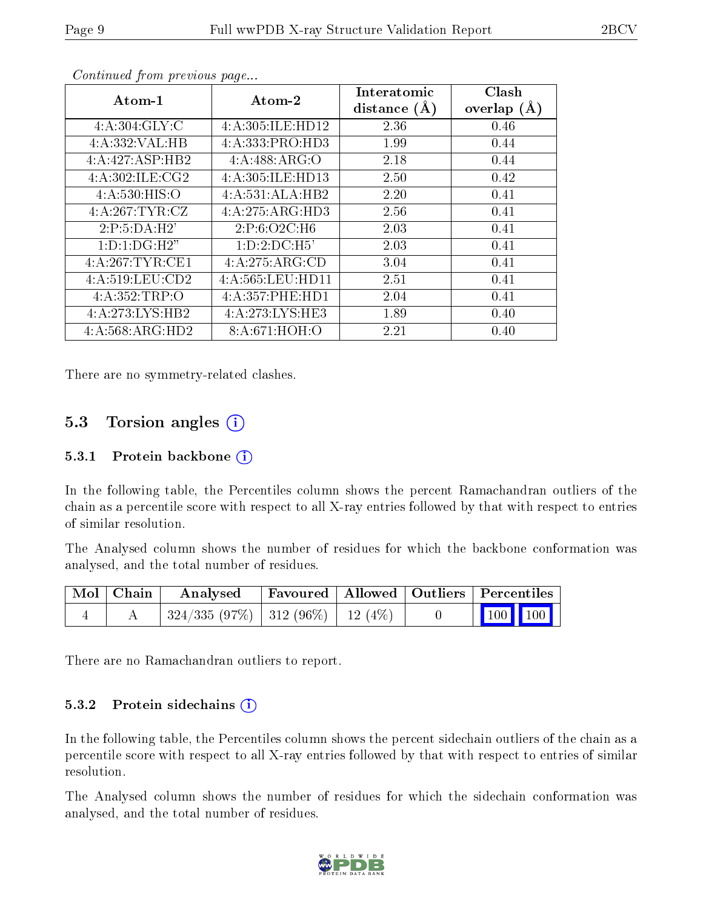| Atom-1            | Atom-2           | Interatomic<br>distance $(A)$ | Clash<br>overlap $(A)$ |
|-------------------|------------------|-------------------------------|------------------------|
| 4: A:304: GLY: C  | 4:A:305:ILE:HD12 | 2.36                          | 0.46                   |
| 4:A:332:VAL:HB    | 4:A:333:PRO:HD3  | 1.99                          | 0.44                   |
| 4:A:427:ASP:HB2   | 4:A:488:ARG:O    | 2.18                          | 0.44                   |
| 4:A:302:ILE:CG2   | 4:A:305:ILE:HD13 | 2.50                          | 0.42                   |
| 4: A: 530: HIS: O | 4:A:531:ALA:HB2  | 2.20                          | 0.41                   |
| 4:A:267:TYR:CZ    | 4:A:275:ARG:HD3  | 2.56                          | 0.41                   |
| 2:P:5:DA:H2'      | 2:P:6:O2C:H6     | 2.03                          | 0.41                   |
| 1:D:1:DG:H2"      | 1: D: 2: DC: H5' | 2.03                          | 0.41                   |
| 4:A:267:TYR:CE1   | 4:A:275:ARG:CD   | 3.04                          | 0.41                   |
| 4:A:519:LEU:CD2   | 4:A:565:LEU:HD11 | 2.51                          | 0.41                   |
| 4:A:352:TRP:O     | 4:A:357:PHE:HD1  | 2.04                          | 0.41                   |
| 4:A:273:LYS:HB2   | 4:A:273:LYS:HE3  | 1.89                          | 0.40                   |
| 4:A:568:ARG:HD2   | 8:A:671:HOH:O    | 2.21                          | 0.40                   |

Continued from previous page...

There are no symmetry-related clashes.

#### 5.3 Torsion angles  $(i)$

#### 5.3.1 Protein backbone (i)

In the following table, the Percentiles column shows the percent Ramachandran outliers of the chain as a percentile score with respect to all X-ray entries followed by that with respect to entries of similar resolution.

The Analysed column shows the number of residues for which the backbone conformation was analysed, and the total number of residues.

| $\mid$ Mol $\mid$ Chain $\mid$ | Analysed   Favoured   Allowed   Outliers   Percentiles |  |                                                                                                                                                                                |  |
|--------------------------------|--------------------------------------------------------|--|--------------------------------------------------------------------------------------------------------------------------------------------------------------------------------|--|
|                                | $ 324/335 (97\%) 312 (96\%) 12 (4\%)$                  |  | $\begin{array}{ c c c c c }\n\hline\n\multicolumn{1}{ c }{\hspace{1.2cm}100} & \multicolumn{1}{ c }{\hspace{1.2cm}100} & \multicolumn{1}{ c }{\hspace{1.2cm}100}\n\end{array}$ |  |

There are no Ramachandran outliers to report.

#### 5.3.2 Protein sidechains  $(i)$

In the following table, the Percentiles column shows the percent sidechain outliers of the chain as a percentile score with respect to all X-ray entries followed by that with respect to entries of similar resolution.

The Analysed column shows the number of residues for which the sidechain conformation was analysed, and the total number of residues.

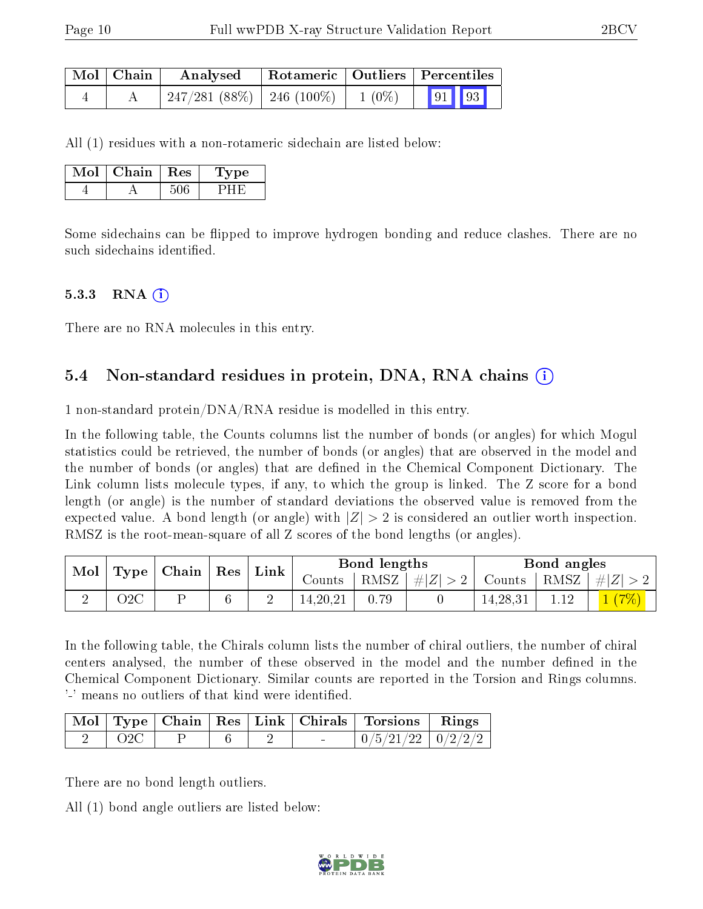| $\mid$ Mol $\mid$ Chain $\mid$ | Analysed | Rotameric   Outliers   Percentiles |  |  |
|--------------------------------|----------|------------------------------------|--|--|
|                                |          |                                    |  |  |

All (1) residues with a non-rotameric sidechain are listed below:

| Mol | Chain | $+$ Res $+$ | Type |
|-----|-------|-------------|------|
|     |       |             |      |

Some sidechains can be flipped to improve hydrogen bonding and reduce clashes. There are no such sidechains identified.

#### $5.3.3$  RNA  $(i)$

There are no RNA molecules in this entry.

#### 5.4 Non-standard residues in protein, DNA, RNA chains (i)

1 non-standard protein/DNA/RNA residue is modelled in this entry.

In the following table, the Counts columns list the number of bonds (or angles) for which Mogul statistics could be retrieved, the number of bonds (or angles) that are observed in the model and the number of bonds (or angles) that are defined in the Chemical Component Dictionary. The Link column lists molecule types, if any, to which the group is linked. The Z score for a bond length (or angle) is the number of standard deviations the observed value is removed from the expected value. A bond length (or angle) with  $|Z| > 2$  is considered an outlier worth inspection. RMSZ is the root-mean-square of all Z scores of the bond lengths (or angles).

| Mol |     | Type   Chain   Res | $^+$ Link | Bond lengths |      |         | Bond angles                         |      |            |
|-----|-----|--------------------|-----------|--------------|------|---------|-------------------------------------|------|------------|
|     |     |                    |           | Counts       | RMSZ | #Z  > 2 | $\vert$ Counts $\vert$ RMSZ $\vert$ |      | $ #Z  > 2$ |
|     | )2C |                    |           | 14, 20, 21   |      |         | 14,28,31                            | 1.12 |            |

In the following table, the Chirals column lists the number of chiral outliers, the number of chiral centers analysed, the number of these observed in the model and the number defined in the Chemical Component Dictionary. Similar counts are reported in the Torsion and Rings columns. '-' means no outliers of that kind were identified.

|  |  |  | Mol   Type   Chain   Res   Link   Chirals   Torsions   Rings |  |
|--|--|--|--------------------------------------------------------------|--|
|  |  |  | $\mid 0/5/21/22 \mid 0/2/2/2 \mid$                           |  |

There are no bond length outliers.

All (1) bond angle outliers are listed below:

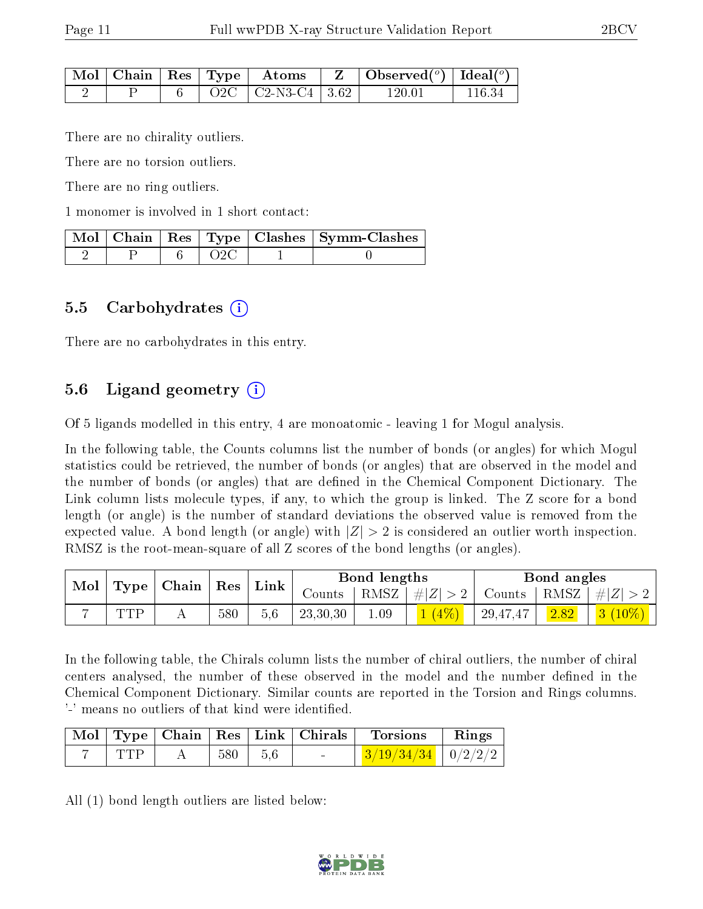|  |  | $\pm \mathrm{Mol} \parallel \mathrm{Chain} \parallel \mathrm{Res} \parallel \mathrm{Type} \parallel \mathrm{Atoms}$ |        |        |
|--|--|---------------------------------------------------------------------------------------------------------------------|--------|--------|
|  |  | $Q2C$   C <sub>2</sub> -N <sub>3</sub> -C <sub>4</sub>   3.62 <sup> </sup>                                          | 120 01 | 116 34 |

There are no chirality outliers.

There are no torsion outliers.

There are no ring outliers.

1 monomer is involved in 1 short contact:

|  |     | Mol   Chain   Res   Type   Clashes   Symm-Clashes |
|--|-----|---------------------------------------------------|
|  | O2C |                                                   |

#### 5.5 Carbohydrates  $(i)$

There are no carbohydrates in this entry.

### 5.6 Ligand geometry (i)

Of 5 ligands modelled in this entry, 4 are monoatomic - leaving 1 for Mogul analysis.

In the following table, the Counts columns list the number of bonds (or angles) for which Mogul statistics could be retrieved, the number of bonds (or angles) that are observed in the model and the number of bonds (or angles) that are defined in the Chemical Component Dictionary. The Link column lists molecule types, if any, to which the group is linked. The Z score for a bond length (or angle) is the number of standard deviations the observed value is removed from the expected value. A bond length (or angle) with  $|Z| > 2$  is considered an outlier worth inspection. RMSZ is the root-mean-square of all Z scores of the bond lengths (or angles).

| Mol |     | $\top$ Type   Chain   Res |     | $^{\shortmid}$ Link | Bond lengths |              |       | Bond angles              |      |                             |
|-----|-----|---------------------------|-----|---------------------|--------------|--------------|-------|--------------------------|------|-----------------------------|
|     |     |                           |     |                     | Counts       | $+$ RMSZ $+$ | #Z >2 | Counts   RMSZ $  \#  Z $ |      |                             |
|     | TTD |                           | 580 | 5.6                 | 23,30,30     | 1.09         |       | $^{+}$ 29,47,47 $_{+}$   | 2.82 | $\mid 3 \ (10\%) \mid \mid$ |

In the following table, the Chirals column lists the number of chiral outliers, the number of chiral centers analysed, the number of these observed in the model and the number defined in the Chemical Component Dictionary. Similar counts are reported in the Torsion and Rings columns. '-' means no outliers of that kind were identified.

|     |               |  | Mol Type Chain Res Link Chirals Torsions Rings |  |
|-----|---------------|--|------------------------------------------------|--|
| TTP | $1580$ $15.6$ |  | $\frac{3}{19/34/34}$   0/2/2/2                 |  |

All (1) bond length outliers are listed below:

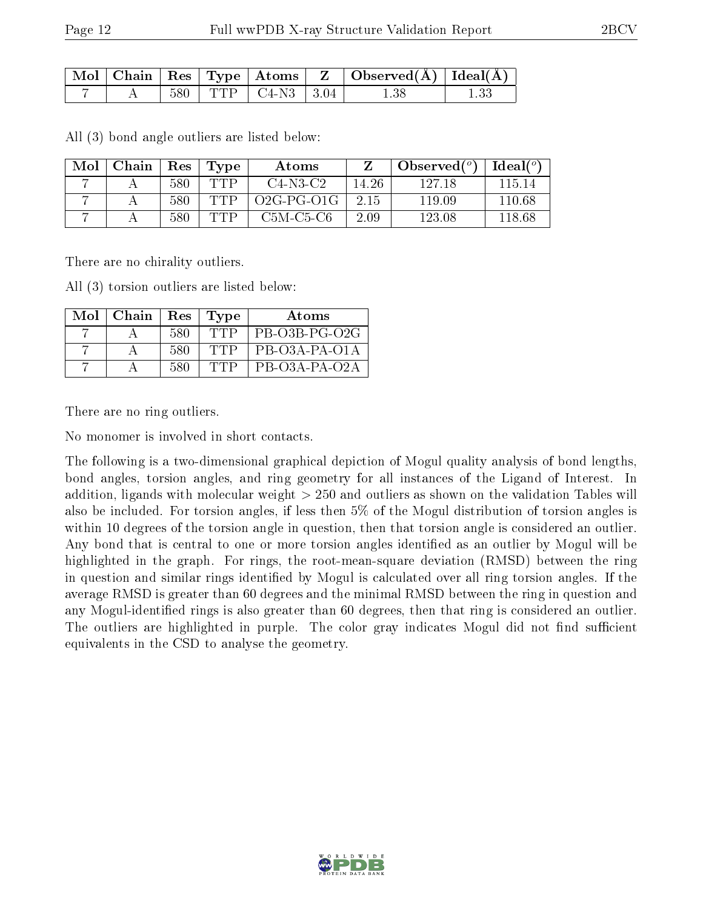|  |      |                                     | $\perp$ Mol   Chain   Res   Type   Atoms   Z   Observed(A)   Ideal(A) |  |
|--|------|-------------------------------------|-----------------------------------------------------------------------|--|
|  | -580 | $\top$ TTP $\top$ C4-N3 $\top$ 3.04 | 1.38                                                                  |  |

All (3) bond angle outliers are listed below:

| Mol | Chain | Res | Type | Atoms        |       | Observed $(°)$ | Ideal $(^\circ)$ |
|-----|-------|-----|------|--------------|-------|----------------|------------------|
|     |       | 580 | TTP  | $C4-N3-C2$   | 14.26 | 127 18         | 115 14           |
|     |       | 580 | TTP  | $O2G-PG-O1G$ | 2.15  | 119.09         | 110.68           |
|     |       | 580 | TTP  | C5M-C5-C6    | 2.09  | 123.08         | 118.68           |

There are no chirality outliers.

All (3) torsion outliers are listed below:

| Mol | Chain | Res | Type     | Atoms           |
|-----|-------|-----|----------|-----------------|
|     |       | 580 | TTP      | PB-O3B-PG-O2G   |
|     |       | 580 | ין "ד' ⊣ | PB-03A-PA-01A   |
|     |       | 580 | יו״וי    | $PB-O3A-PA-O2A$ |

There are no ring outliers.

No monomer is involved in short contacts.

The following is a two-dimensional graphical depiction of Mogul quality analysis of bond lengths, bond angles, torsion angles, and ring geometry for all instances of the Ligand of Interest. In addition, ligands with molecular weight > 250 and outliers as shown on the validation Tables will also be included. For torsion angles, if less then 5% of the Mogul distribution of torsion angles is within 10 degrees of the torsion angle in question, then that torsion angle is considered an outlier. Any bond that is central to one or more torsion angles identified as an outlier by Mogul will be highlighted in the graph. For rings, the root-mean-square deviation (RMSD) between the ring in question and similar rings identified by Mogul is calculated over all ring torsion angles. If the average RMSD is greater than 60 degrees and the minimal RMSD between the ring in question and any Mogul-identified rings is also greater than 60 degrees, then that ring is considered an outlier. The outliers are highlighted in purple. The color gray indicates Mogul did not find sufficient equivalents in the CSD to analyse the geometry.

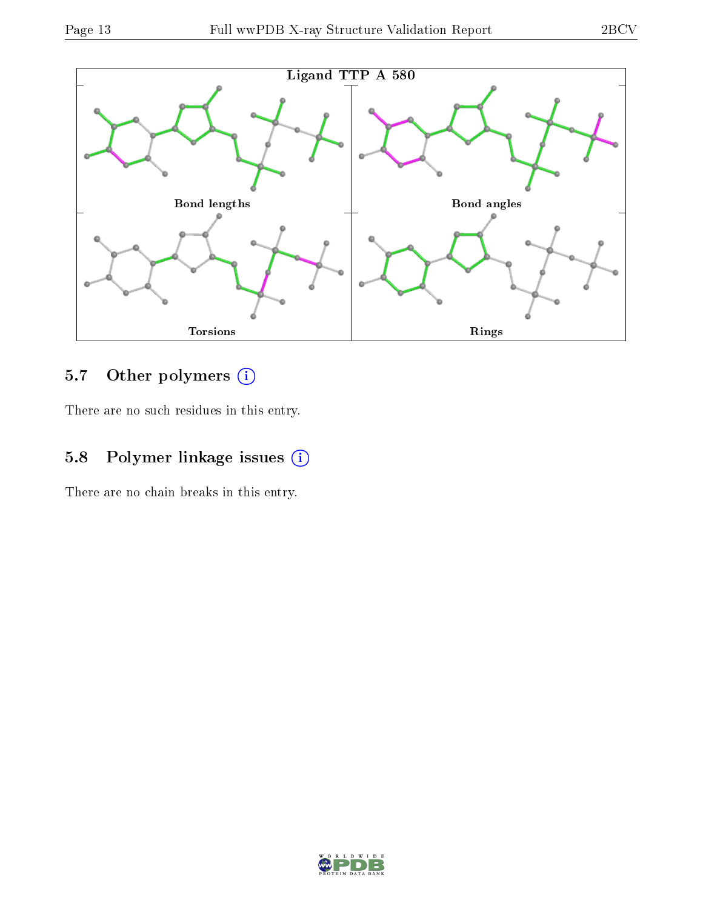

## 5.7 [O](https://www.wwpdb.org/validation/2017/XrayValidationReportHelp#nonstandard_residues_and_ligands)ther polymers (i)

There are no such residues in this entry.

## 5.8 Polymer linkage issues (i)

There are no chain breaks in this entry.

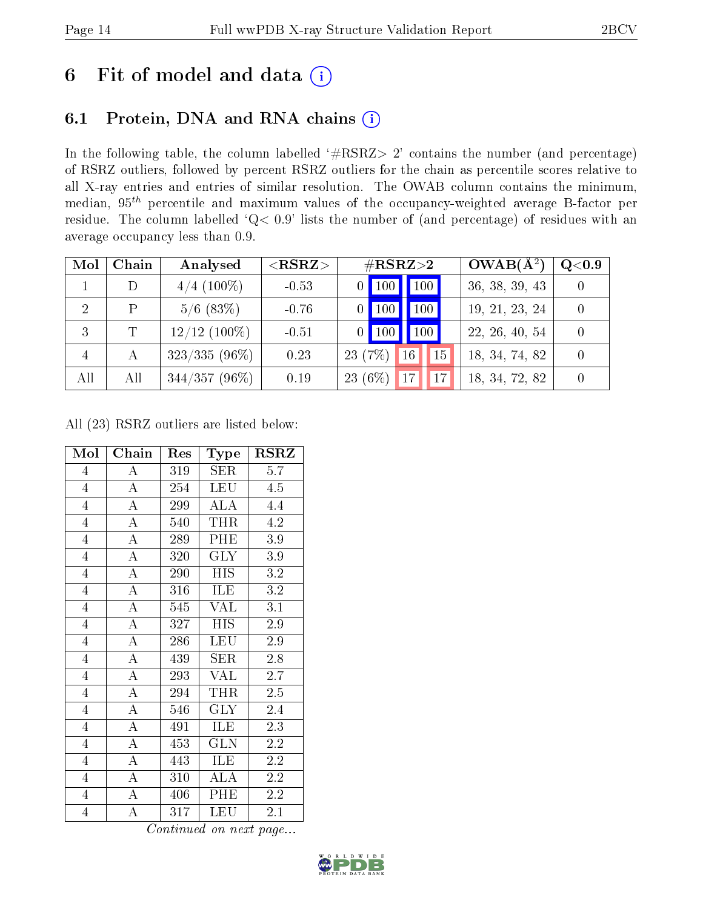## 6 Fit of model and data  $(i)$

### 6.1 Protein, DNA and RNA chains  $(i)$

In the following table, the column labelled  $#RSRZ> 2'$  contains the number (and percentage) of RSRZ outliers, followed by percent RSRZ outliers for the chain as percentile scores relative to all X-ray entries and entries of similar resolution. The OWAB column contains the minimum, median,  $95<sup>th</sup>$  percentile and maximum values of the occupancy-weighted average B-factor per residue. The column labelled ' $Q< 0.9$ ' lists the number of (and percentage) of residues with an average occupancy less than 0.9.

| Mol                         | Chain | Analysed        | ${ <\hspace{-1.5pt}{\mathrm{RSRZ}} \hspace{-1.5pt}>}$ | $\#\text{RSRZ}{>}2$                    | $OWAB(A^2)$    | Q <sub>0.9</sub> |
|-----------------------------|-------|-----------------|-------------------------------------------------------|----------------------------------------|----------------|------------------|
|                             |       | $4/4$ (100\%)   | $-0.53$                                               | $\vert$ 100<br>$0$   100               | 36, 38, 39, 43 |                  |
| $\mathcal{D}_{\mathcal{A}}$ | P     | $5/6$ (83\%)    | $-0.76$                                               | 100<br>$100^{\degree}$                 | 19, 21, 23, 24 |                  |
| 3                           | T     | $12/12$ (100%)  | $-0.51$                                               | 100 <sub>h</sub><br>$\blacksquare$ 100 | 22, 26, 40, 54 |                  |
| $\overline{4}$              |       | $323/335(96\%)$ | 0.23                                                  | 23 (7%)<br>15<br>16 <sup>°</sup>       | 18, 34, 74, 82 |                  |
| All                         | All   | $344/357(96\%)$ | 0.19                                                  | 23 (6%)<br> 17 <br>17                  | 18, 34, 72, 82 |                  |

All (23) RSRZ outliers are listed below:

| Mol            | Chain              | Res | Type             | RSRZ             |
|----------------|--------------------|-----|------------------|------------------|
| $\overline{4}$ | $\overline{\rm A}$ | 319 | SER              | 5.7              |
| $\overline{4}$ | $\overline{A}$     | 254 | LEU              | 4.5              |
| $\overline{4}$ | $\overline{A}$     | 299 | $\overline{ALA}$ | 4.4              |
| $\overline{4}$ | $\overline{\rm A}$ | 540 | <b>THR</b>       | 4.2              |
| $\overline{4}$ | $\overline{\rm A}$ | 289 | PHE              | $3.9\,$          |
| $\overline{4}$ | $\overline{A}$     | 320 | <b>GLY</b>       | 3.9              |
| $\overline{4}$ | $\overline{A}$     | 290 | <b>HIS</b>       | 3.2              |
| $\overline{4}$ | $\overline{\rm A}$ | 316 | <b>ILE</b>       | $3.2\,$          |
| $\overline{4}$ | $\overline{\rm A}$ | 545 | <b>VAL</b>       | 3.1              |
| $\overline{4}$ | $\overline{A}$     | 327 | <b>HIS</b>       | $\overline{2.9}$ |
| $\overline{4}$ | $\overline{\rm A}$ | 286 | LEU              | 2.9              |
| $\overline{4}$ | $\overline{\rm A}$ | 439 | SER              | 2.8              |
| $\overline{4}$ | $\overline{A}$     | 293 | <b>VAL</b>       | 2.7              |
| $\overline{4}$ | $\overline{\rm A}$ | 294 | <b>THR</b>       | $2.5\,$          |
| $\overline{4}$ | $\overline{\rm A}$ | 546 | <b>GLY</b>       | 2.4              |
| $\overline{4}$ | $\overline{A}$     | 491 | ILE              | 2.3              |
| $\overline{4}$ | $\overline{\rm A}$ | 453 | <b>GLN</b>       | 2.2              |
| $\overline{4}$ | $\bf{A}$           | 443 | ILE              | 2.2              |
| $\overline{4}$ | $\bf{A}$           | 310 | ALA              | 2.2              |
| $\overline{4}$ | A                  | 406 | PHE              | 2.2              |
| $\overline{4}$ | A                  | 317 | LEU              | 2.1              |

Continued on next page...

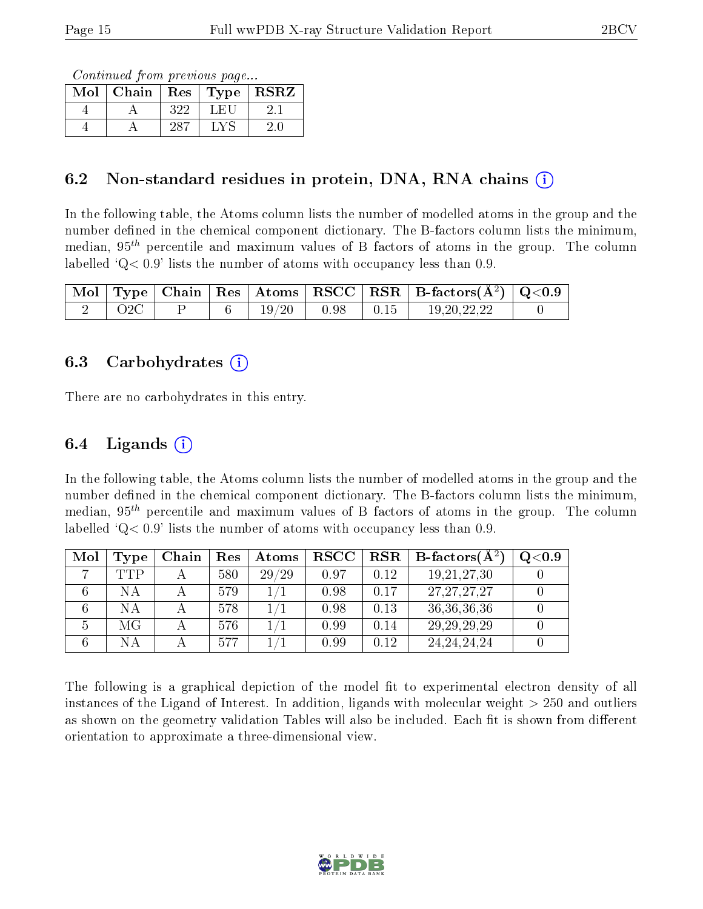Continued from previous page...

| Mol | Chain |     | $\lceil \overline{\text{Res}} \mid \text{Type} \rceil$ | <b>RSRZ</b> |
|-----|-------|-----|--------------------------------------------------------|-------------|
|     |       | 322 | LEL                                                    |             |
|     |       |     |                                                        |             |

#### 6.2 Non-standard residues in protein, DNA, RNA chains  $(i)$

In the following table, the Atoms column lists the number of modelled atoms in the group and the number defined in the chemical component dictionary. The B-factors column lists the minimum, median,  $95<sup>th</sup>$  percentile and maximum values of B factors of atoms in the group. The column labelled  $Q< 0.9$ ' lists the number of atoms with occupancy less than 0.9.

| Mol |  |        |      |      | $\overline{A}$ Type   Chain   Res   Atoms   RSCC   RSR   B-factors $(\rm \AA^2)$   Q<0.9 |  |
|-----|--|--------|------|------|------------------------------------------------------------------------------------------|--|
|     |  | $19\,$ | 0.98 | 0.15 | 19.20.22.22                                                                              |  |

#### 6.3 Carbohydrates (i)

There are no carbohydrates in this entry.

#### 6.4 Ligands  $(i)$

In the following table, the Atoms column lists the number of modelled atoms in the group and the number defined in the chemical component dictionary. The B-factors column lists the minimum, median,  $95<sup>th</sup>$  percentile and maximum values of B factors of atoms in the group. The column labelled  $Q< 0.9$ ' lists the number of atoms with occupancy less than 0.9.

| Mol | Type | Chain | <b>Res</b> | Atoms | $_{\rm RSCC}$ |      | $\text{RSR} \parallel \text{B-factors}(\AA^2)$ | Q <sub>0.9</sub> |
|-----|------|-------|------------|-------|---------------|------|------------------------------------------------|------------------|
|     | TTP  |       | 580        | 29/29 | 0.97          | 0.12 | 19, 21, 27, 30                                 |                  |
|     | NΑ   |       | 579        |       | 0.98          | 0.17 | 27, 27, 27, 27                                 |                  |
|     | NА   |       | 578        |       | 0.98          | 0.13 | 36, 36, 36, 36                                 |                  |
|     | МG   |       | 576        |       | 0.99          | 0.14 | 29, 29, 29, 29                                 |                  |
|     | NА   |       | 577        |       | 0.99          | 0.12 | 24, 24, 24, 24                                 |                  |

The following is a graphical depiction of the model fit to experimental electron density of all instances of the Ligand of Interest. In addition, ligands with molecular weight  $> 250$  and outliers as shown on the geometry validation Tables will also be included. Each fit is shown from different orientation to approximate a three-dimensional view.